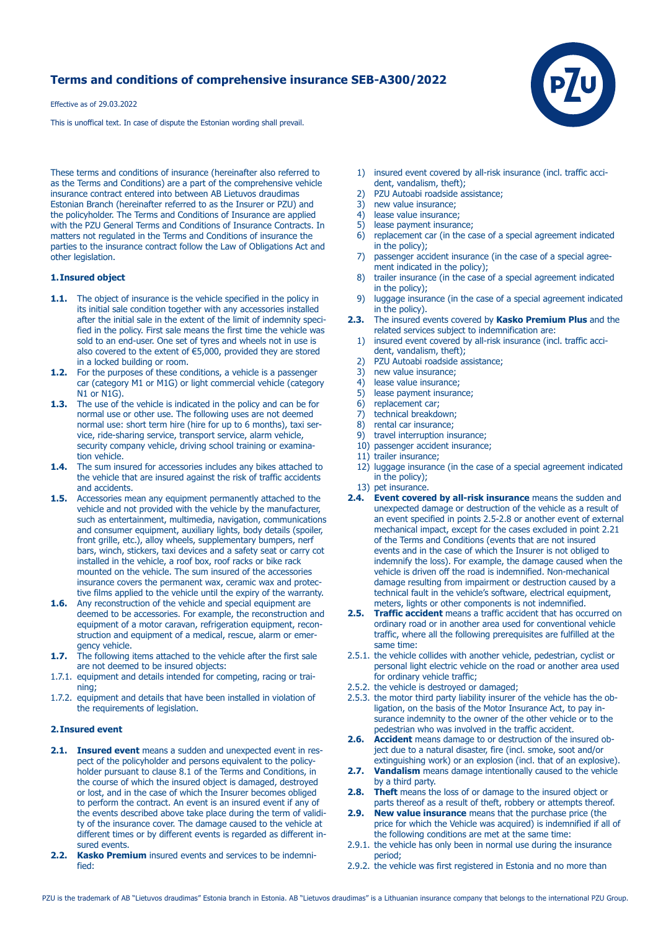# **Terms and conditions of comprehensive insurance SEB-A300/2022**

Effective as of 29.03.2022

This is unoffical text. In case of dispute the Estonian wording shall prevail.

These terms and conditions of insurance (hereinafter also referred to as the Terms and Conditions) are a part of the comprehensive vehicle insurance contract entered into between AB Lietuvos draudimas Estonian Branch (hereinafter referred to as the Insurer or PZU) and the policyholder. The Terms and Conditions of Insurance are applied with the PZU General Terms and Conditions of Insurance Contracts. In matters not regulated in the Terms and Conditions of insurance the parties to the insurance contract follow the Law of Obligations Act and other legislation.

#### **1. Insured object**

- **1.1.** The object of insurance is the vehicle specified in the policy in its initial sale condition together with any accessories installed after the initial sale in the extent of the limit of indemnity speci fied in the policy. First sale means the first time the vehicle was sold to an end-user. One set of tyres and wheels not in use is also covered to the extent of €5,000, provided they are stored in a locked building or room.
- **1.2.** For the purposes of these conditions, a vehicle is a passenger car (category M1 or M1G) or light commercial vehicle (category N1 or N1G).
- **1.3.** The use of the vehicle is indicated in the policy and can be for normal use or other use. The following uses are not deemed normal use: short term hire (hire for up to 6 months), taxi ser vice, ride-sharing service, transport service, alarm vehicle, security company vehicle, driving school training or examination vehicle.
- **1.4.** The sum insured for accessories includes any bikes attached to the vehicle that are insured against the risk of traffic accidents and accidents.
- **1.5.** Accessories mean any equipment permanently attached to the vehicle and not provided with the vehicle by the manufacturer, such as entertainment, multimedia, navigation, communications and consumer equipment, auxiliary lights, body details (spoiler, front grille, etc.), alloy wheels, supplementary bumpers, nerf bars, winch, stickers, taxi devices and a safety seat or carry cot installed in the vehicle, a roof box, roof racks or bike rack mounted on the vehicle. The sum insured of the accessories insurance covers the permanent wax, ceramic wax and protec tive films applied to the vehicle until the expiry of the warranty.
- **1.6.** Any reconstruction of the vehicle and special equipment are deemed to be accessories. For example, the reconstruction and equipment of a motor caravan, refrigeration equipment, recon struction and equipment of a medical, rescue, alarm or emer gency vehicle.
- **1.7.** The following items attached to the vehicle after the first sale are not deemed to be insured objects:
- 1.7.1. equipment and details intended for competing, racing or training;
- 1.7.2. equipment and details that have been installed in violation of the requirements of legislation.

#### **2. Insured event**

- **2.1. Insured event** means a sudden and unexpected event in res pect of the policyholder and persons equivalent to the policy holder pursuant to clause 8.1 of the Terms and Conditions, in the course of which the insured object is damaged, destroyed or lost, and in the case of which the Insurer becomes obliged to perform the contract. An event is an insured event if any of the events described above take place during the term of validi ty of the insurance cover. The damage caused to the vehicle at different times or by different events is regarded as different in sured events.
- **2.2. Kasko Premium** insured events and services to be indemni fied:
- 1) insured event covered by all-risk insurance (incl. traffic acci dent, vandalism, theft);<br>2) PZLLAutoabi roadside as
- 2) PZU Autoabi roadside assistance;<br>3) new value insurance;
- new value insurance;
- 4) lease value insurance;
- 5) lease payment insurance;
- 6) replacement car (in the case of a special agreement indicated in the policy);
- 7) passenger accident insurance (in the case of a special agree ment indicated in the policy);
- 8) trailer insurance (in the case of a special agreement indicated in the policy);
- 9) luggage insurance (in the case of a special agreement indicated in the policy).
- **2.3.** The insured events covered by **Kasko Premium Plus** and the related services subject to indemnification are:
	- 1) insured event covered by all-risk insurance (incl. traffic acci dent, vandalism, theft);
	- 2) PZU Autoabi roadside assistance;<br>3) new value insurance;
	- new value insurance;
	- 4) lease value insurance;
	- 5) lease payment insurance;
	- 6) replacement car;
	- 7) technical breakdown;
	- 8) rental car insurance;
	- 9) travel interruption insurance;
	- 10) passenger accident insurance;
	- 11) trailer insurance;
	- 12) luggage insurance (in the case of a special agreement indicated in the policy);
	- 13) pet insurance.
- **2.4. Event covered by all-risk insurance** means the sudden and unexpected damage or destruction of the vehicle as a result of an event specified in points 2.5-2.8 or another event of external mechanical impact, except for the cases excluded in point 2.21 of the Terms and Conditions (events that are not insured events and in the case of which the Insurer is not obliged to indemnify the loss). For example, the damage caused when the vehicle is driven off the road is indemnified. Non-mechanical damage resulting from impairment or destruction caused by a technical fault in the vehicle's software, electrical equipment, meters, lights or other components is not indemnified.
- **2.5. Traffic accident** means a traffic accident that has occurred on ordinary road or in another area used for conventional vehicle traffic, where all the following prerequisites are fulfilled at the same time:
- 2.5.1. the vehicle collides with another vehicle, pedestrian, cyclist or personal light electric vehicle on the road or another area used for ordinary vehicle traffic;
- 2.5.2. the vehicle is destroyed or damaged;
- 2.5.3. the motor third party liability insurer of the vehicle has the ob ligation, on the basis of the Motor Insurance Act, to pay in surance indemnity to the owner of the other vehicle or to the pedestrian who was involved in the traffic accident.
- **2.6. Accident** means damage to or destruction of the insured ob ject due to a natural disaster, fire (incl. smoke, soot and/or extinguishing work) or an explosion (incl. that of an explosive).
- **2.7. Vandalism** means damage intentionally caused to the vehicle by a third party.
- **2.8. Theft** means the loss of or damage to the insured object or parts thereof as a result of theft, robbery or attempts thereof.
- **2.9. New value insurance** means that the purchase price (the price for which the Vehicle was acquired) is indemnified if all of the following conditions are met at the same time:
- 2.9.1. the vehicle has only been in normal use during the insurance period;
- 2.9.2. the vehicle was first registered in Estonia and no more than

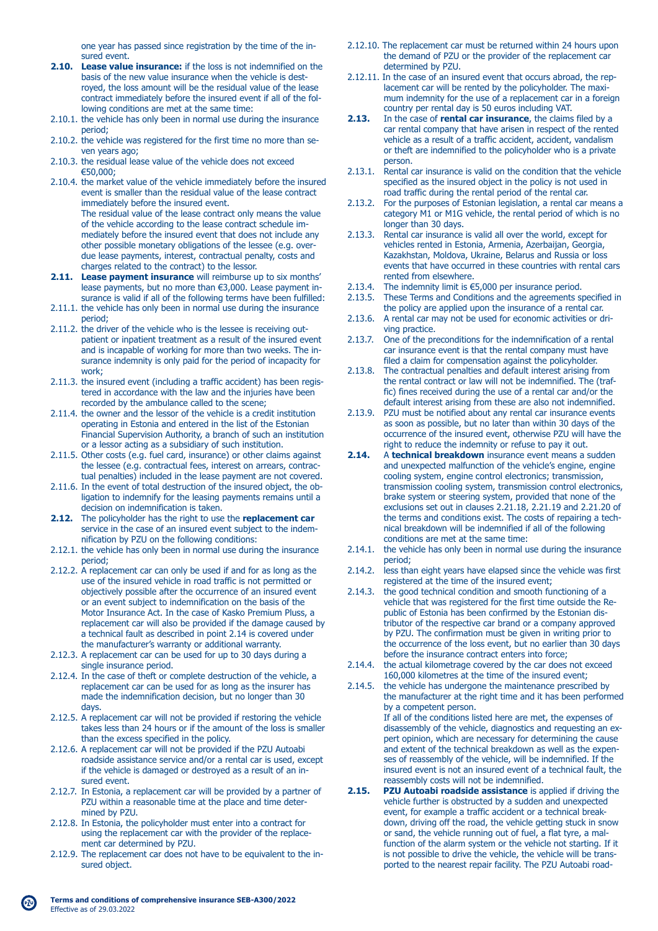one year has passed since registration by the time of the in sured event.

- **2.10. Lease value insurance:** if the loss is not indemnified on the basis of the new value insurance when the vehicle is dest royed, the loss amount will be the residual value of the lease contract immediately before the insured event if all of the fol lowing conditions are met at the same time:
- 2.10.1. the vehicle has only been in normal use during the insurance period;
- 2.10.2. the vehicle was registered for the first time no more than se ven years ago;
- 2.10.3. the residual lease value of the vehicle does not exceed €50,000;
- 2.10.4. the market value of the vehicle immediately before the insured event is smaller than the residual value of the lease contract immediately before the insured event. The residual value of the lease contract only means the value of the vehicle according to the lease contract schedule im mediately before the insured event that does not include any other possible monetary obligations of the lessee (e.g. over due lease payments, interest, contractual penalty, costs and charges related to the contract) to the lessor.
- **2.11. Lease payment insurance** will reimburse up to six months' lease payments, but no more than €3,000. Lease payment in surance is valid if all of the following terms have been fulfilled:
- 2.11.1. the vehicle has only been in normal use during the insurance period;
- 2.11.2. the driver of the vehicle who is the lessee is receiving out patient or inpatient treatment as a result of the insured event and is incapable of working for more than two weeks. The in surance indemnity is only paid for the period of incapacity for work;
- 2.11.3. the insured event (including a traffic accident) has been regis tered in accordance with the law and the injuries have been recorded by the ambulance called to the scene;
- 2.11.4. the owner and the lessor of the vehicle is a credit institution operating in Estonia and entered in the list of the Estonian Financial Supervision Authority, a branch of such an institution or a lessor acting as a subsidiary of such institution.
- 2.11.5. Other costs (e.g. fuel card, insurance) or other claims against the lessee (e.g. contractual fees, interest on arrears, contrac tual penalties) included in the lease payment are not covered.
- 2.11.6. In the event of total destruction of the insured object, the ob ligation to indemnify for the leasing payments remains until a decision on indemnification is taken.
- **2.12.** The policyholder has the right to use the **replacement car** service in the case of an insured event subject to the indem nification by PZU on the following conditions:
- 2.12.1. the vehicle has only been in normal use during the insurance period;
- 2.12.2. A replacement car can only be used if and for as long as the use of the insured vehicle in road traffic is not permitted or objectively possible after the occurrence of an insured event or an event subject to indemnification on the basis of the Motor Insurance Act. In the case of Kasko Premium Pluss, a replacement car will also be provided if the damage caused by a technical fault as described in point 2.14 is covered under the manufacturer's warranty or additional warranty.
- 2.12.3. A replacement car can be used for up to 30 days during a single insurance period.
- 2.12.4. In the case of theft or complete destruction of the vehicle, a replacement car can be used for as long as the insurer has made the indemnification decision, but no longer than 30 days.
- 2.12.5. A replacement car will not be provided if restoring the vehicle takes less than 24 hours or if the amount of the loss is smaller than the excess specified in the policy.
- 2.12.6. A replacement car will not be provided if the PZU Autoabi roadside assistance service and/or a rental car is used, except if the vehicle is damaged or destroyed as a result of an in sured event.
- 2.12.7. In Estonia, a replacement car will be provided by a partner of PZU within a reasonable time at the place and time deter mined by PZU.
- 2.12.8. In Estonia, the policyholder must enter into a contract for using the replacement car with the provider of the replace ment car determined by PZU.
- 2.12.9. The replacement car does not have to be equivalent to the insured object.
- 2.12.10. The replacement car must be returned within 24 hours upon the demand of PZU or the provider of the replacement car determined by PZU.
- 2.12.11. In the case of an insured event that occurs abroad, the rep lacement car will be rented by the policyholder. The maxi mum indemnity for the use of a replacement car in a foreign country per rental day is 50 euros including VAT.<br>**2.13.** In the case of **rental car insurance**, the claims
- **2.13.** In the case of **rental car insurance**, the claims filed by a car rental company that have arisen in respect of the rented vehicle as a result of a traffic accident, accident, vandalism or theft are indemnified to the policyholder who is a private person.
- 2.13.1. Rental car insurance is valid on the condition that the vehicle specified as the insured object in the policy is not used in road traffic during the rental period of the rental car.
- 2.13.2. For the purposes of Estonian legislation, a rental car means a category M1 or M1G vehicle, the rental period of which is no longer than 30 days.<br>2.13.3. Rental car insurance
- Rental car insurance is valid all over the world, except for vehicles rented in Estonia, Armenia, Azerbaijan, Georgia, Kazakhstan, Moldova, Ukraine, Belarus and Russia or loss events that have occurred in these countries with rental cars rented from elsewhere.<br>2.13.4. The indemnity limit is  $\in$
- 2.13.4. The indemnity limit is  $\epsilon$ 5,000 per insurance period.<br>2.13.5. These Terms and Conditions and the agreements s
- These Terms and Conditions and the agreements specified in the policy are applied upon the insurance of a rental car.<br>2.13.6. A rental car may not be used for economic activities or d
- A rental car may not be used for economic activities or driving practice.
- 2.13.7. One of the preconditions for the indemnification of a rental car insurance event is that the rental company must have filed a claim for compensation against the policyholder.<br>2.13.8. The contractual penalties and default interest arising from
- The contractual penalties and default interest arising from the rental contract or law will not be indemnified. The (traf fic) fines received during the use of a rental car and/or the default interest arising from these are also not indemnified.
- 2.13.9. PZU must be notified about any rental car insurance events as soon as possible, but no later than within 30 days of the occurrence of the insured event, otherwise PZU will have the right to reduce the indemnity or refuse to pay it out.<br>**2.14.** A **technical breakdown** insurance event means a s
- **2.14.** A **technical breakdown** insurance event means a sudden and unexpected malfunction of the vehicle's engine, engine cooling system, engine control electronics; transmission, transmission cooling system, transmission control electronics, brake system or steering system, provided that none of the exclusions set out in clauses 2.21.18, 2.21.19 and 2.21.20 of the terms and conditions exist. The costs of repairing a tech nical breakdown will be indemnified if all of the following conditions are met at the same time:
- 2.14.1. the vehicle has only been in normal use during the insurance period;
- 2.14.2. less than eight years have elapsed since the vehicle was first registered at the time of the insured event;
- 2.14.3. the good technical condition and smooth functioning of a vehicle that was registered for the first time outside the Re public of Estonia has been confirmed by the Estonian dis tributor of the respective car brand or a company approved by PZU. The confirmation must be given in writing prior to the occurrence of the loss event, but no earlier than 30 days before the insurance contract enters into force;
- 2.14.4. the actual kilometrage covered by the car does not exceed 160,000 kilometres at the time of the insured event;
- 2.14.5. the vehicle has undergone the maintenance prescribed by the manufacturer at the right time and it has been performed by a competent person. If all of the conditions listed here are met, the expenses of disassembly of the vehicle, diagnostics and requesting an ex pert opinion, which are necessary for determining the cause and extent of the technical breakdown as well as the expen ses of reassembly of the vehicle, will be indemnified. If the insured event is not an insured event of a technical fault, the
- reassembly costs will not be indemnified.<br>2.15. PZU Autoabi roadside assistance is a **PZU Autoabi roadside assistance** is applied if driving the vehicle further is obstructed by a sudden and unexpected event, for example a traffic accident or a technical break down, driving off the road, the vehicle getting stuck in snow or sand, the vehicle running out of fuel, a flat tyre, a mal function of the alarm system or the vehicle not starting. If it is not possible to drive the vehicle, the vehicle will be transported to the nearest repair facility. The PZU Autoabi road-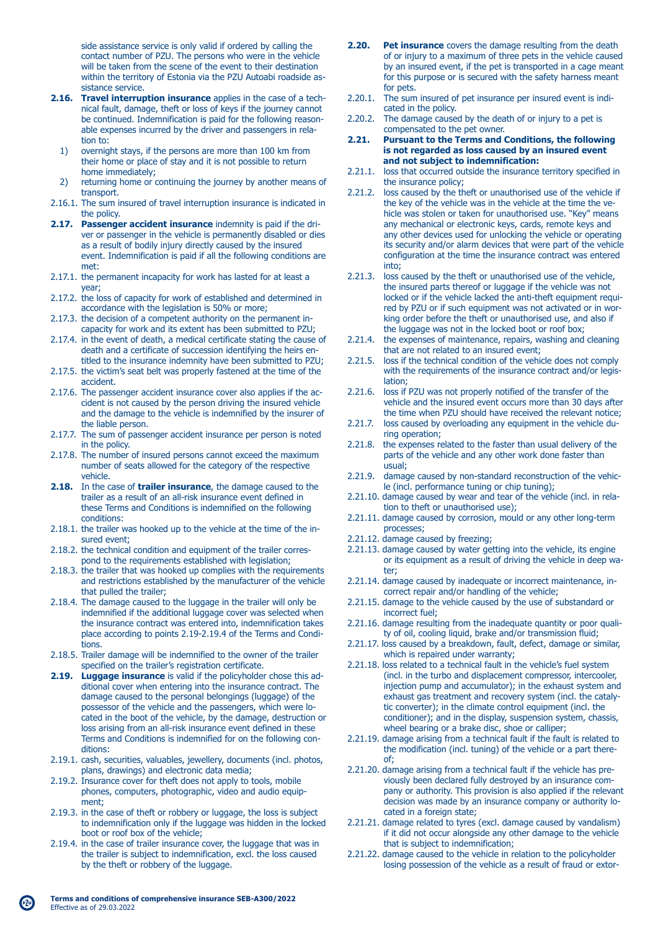side assistance service is only valid if ordered by calling the contact number of PZU. The persons who were in the vehicle will be taken from the scene of the event to their destination within the territory of Estonia via the PZU Autoabi roadside as sistance service.

- **2.16. Travel interruption insurance** applies in the case of a tech nical fault, damage, theft or loss of keys if the journey cannot be continued. Indemnification is paid for the following reason able expenses incurred by the driver and passengers in rela tion to:
	- 1) overnight stays, if the persons are more than 100 km from their home or place of stay and it is not possible to return home immediately;
	- 2) returning home or continuing the journey by another means of transport.
- 2.16.1. The sum insured of travel interruption insurance is indicated in the policy.
- **2.17. Passenger accident insurance** indemnity is paid if the dri ver or passenger in the vehicle is permanently disabled or dies as a result of bodily injury directly caused by the insured event. Indemnification is paid if all the following conditions are met:
- 2.17.1. the permanent incapacity for work has lasted for at least a year;
- 2.17.2. the loss of capacity for work of established and determined in accordance with the legislation is 50% or more;
- 2.17.3. the decision of a competent authority on the permanent in capacity for work and its extent has been submitted to PZU;
- 2.17.4. in the event of death, a medical certificate stating the cause of death and a certificate of succession identifying the heirs en titled to the insurance indemnity have been submitted to PZU;
- 2.17.5. the victim's seat belt was properly fastened at the time of the accident.
- 2.17.6. The passenger accident insurance cover also applies if the ac cident is not caused by the person driving the insured vehicle and the damage to the vehicle is indemnified by the insurer of the liable person.
- 2.17.7. The sum of passenger accident insurance per person is noted in the policy.
- 2.17.8. The number of insured persons cannot exceed the maximum number of seats allowed for the category of the respective vehicle.
- **2.18.** In the case of **trailer insurance**, the damage caused to the trailer as a result of an all-risk insurance event defined in these Terms and Conditions is indemnified on the following conditions:
- 2.18.1. the trailer was hooked up to the vehicle at the time of the in sured event;
- 2.18.2. the technical condition and equipment of the trailer corres pond to the requirements established with legislation;
- 2.18.3. the trailer that was hooked up complies with the requirements and restrictions established by the manufacturer of the vehicle that pulled the trailer;
- 2.18.4. The damage caused to the luggage in the trailer will only be indemnified if the additional luggage cover was selected when the insurance contract was entered into, indemnification takes place according to points 2.19-2.19.4 of the Terms and Condi tions.
- 2.18.5. Trailer damage will be indemnified to the owner of the trailer specified on the trailer's registration certificate.
- **2.19. Luggage insurance** is valid if the policyholder chose this ad ditional cover when entering into the insurance contract. The damage caused to the personal belongings (luggage) of the possessor of the vehicle and the passengers, which were lo cated in the boot of the vehicle, by the damage, destruction or loss arising from an all-risk insurance event defined in these Terms and Conditions is indemnified for on the following con ditions:
- 2.19.1. cash, securities, valuables, jewellery, documents (incl. photos, plans, drawings) and electronic data media;
- 2.19.2. Insurance cover for theft does not apply to tools, mobile phones, computers, photographic, video and audio equip ment;
- 2.19.3. in the case of theft or robbery or luggage, the loss is subject to indemnification only if the luggage was hidden in the locked boot or roof box of the vehicle;
- 2.19.4. in the case of trailer insurance cover, the luggage that was in the trailer is subject to indemnification, excl. the loss caused by the theft or robbery of the luggage.
- **2.20.** Pet insurance covers the damage resulting from the death of or injury to a maximum of three pets in the vehicle caused by an insured event, if the pet is transported in a cage meant for this purpose or is secured with the safety harness meant for pets.
- 2.20.1. The sum insured of pet insurance per insured event is indi cated in the policy.
- 2.20.2. The damage caused by the death of or injury to a pet is compensated to the pet owner.<br>**2.21.** Pursuant to the Terms and (
- **2.21. Pursuant to the Terms and Conditions, the following is not regarded as loss caused by an insured event and not subject to indemnification:**
- 2.21.1. loss that occurred outside the insurance territory specified in the insurance policy;<br>2.21.2. loss caused by the th
- loss caused by the theft or unauthorised use of the vehicle if the key of the vehicle was in the vehicle at the time the ve hicle was stolen or taken for unauthorised use. "Key" means any mechanical or electronic keys, cards, remote keys and any other devices used for unlocking the vehicle or operating its security and/or alarm devices that were part of the vehicle configuration at the time the insurance contract was entered into;
- 2.21.3. loss caused by the theft or unauthorised use of the vehicle, the insured parts thereof or luggage if the vehicle was not locked or if the vehicle lacked the anti-theft equipment requi red by PZU or if such equipment was not activated or in wor king order before the theft or unauthorised use, and also if the luggage was not in the locked boot or roof box;
- 2.21.4. the expenses of maintenance, repairs, washing and cleaning that are not related to an insured event;<br>2.21.5. loss if the technical condition of the vehic
- loss if the technical condition of the vehicle does not comply with the requirements of the insurance contract and/or legis lation;
- 2.21.6. loss if PZU was not properly notified of the transfer of the vehicle and the insured event occurs more than 30 days after the time when PZU should have received the relevant notice;
- 2.21.7. loss caused by overloading any equipment in the vehicle du ring operation;
- 2.21.8. the expenses related to the faster than usual delivery of the parts of the vehicle and any other work done faster than usual;
- 2.21.9. damage caused by non-standard reconstruction of the vehic le (incl. performance tuning or chip tuning);
- 2.21.10. damage caused by wear and tear of the vehicle (incl. in rela tion to theft or unauthorised use);
- 2.21.11. damage caused by corrosion, mould or any other long-term processes;
- 2.21.12. damage caused by freezing;
- 2.21.13. damage caused by water getting into the vehicle, its engine or its equipment as a result of driving the vehicle in deep wa ter;
- 2.21.14. damage caused by inadequate or incorrect maintenance, in correct repair and/or handling of the vehicle;
- 2.21.15. damage to the vehicle caused by the use of substandard or incorrect fuel;
- 2.21.16. damage resulting from the inadequate quantity or poor quali ty of oil, cooling liquid, brake and/or transmission fluid;
- 2.21.17. loss caused by a breakdown, fault, defect, damage or similar, which is repaired under warranty;
- 2.21.18. loss related to a technical fault in the vehicle's fuel system (incl. in the turbo and displacement compressor, intercooler, injection pump and accumulator); in the exhaust system and exhaust gas treatment and recovery system (incl. the cataly tic converter); in the climate control equipment (incl. the conditioner); and in the display, suspension system, chassis, wheel bearing or a brake disc, shoe or calliper;
- 2.21.19. damage arising from a technical fault if the fault is related to the modification (incl. tuning) of the vehicle or a part there of;
- 2.21.20. damage arising from a technical fault if the vehicle has pre viously been declared fully destroyed by an insurance com pany or authority. This provision is also applied if the relevant decision was made by an insurance company or authority lo cated in a foreign state;
- 2.21.21. damage related to tyres (excl. damage caused by vandalism) if it did not occur alongside any other damage to the vehicle that is subject to indemnification;
- 2.21.22. damage caused to the vehicle in relation to the policyholder losing possession of the vehicle as a result of fraud or extor-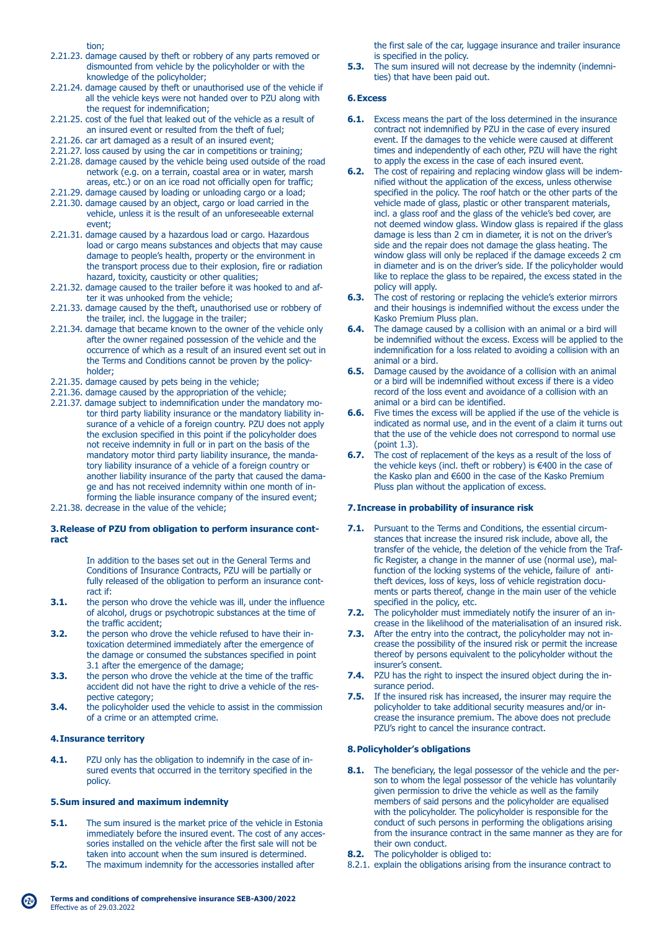tion;

- 2.21.23. damage caused by theft or robbery of any parts removed or dismounted from vehicle by the policyholder or with the knowledge of the policyholder;
- 2.21.24. damage caused by theft or unauthorised use of the vehicle if all the vehicle keys were not handed over to PZU along with the request for indemnification;
- 2.21.25. cost of the fuel that leaked out of the vehicle as a result of an insured event or resulted from the theft of fuel;
- 2.21.26. car art damaged as a result of an insured event;
- 2.21.27. loss caused by using the car in competitions or training;
- 2.21.28. damage caused by the vehicle being used outside of the road network (e.g. on a terrain, coastal area or in water, marsh areas, etc.) or on an ice road not officially open for traffic;
- 2.21.29. damage caused by loading or unloading cargo or a load;
- 2.21.30. damage caused by an object, cargo or load carried in the vehicle, unless it is the result of an unforeseeable external event;
- 2.21.31. damage caused by a hazardous load or cargo. Hazardous load or cargo means substances and objects that may cause damage to people's health, property or the environment in the transport process due to their explosion, fire or radiation hazard, toxicity, causticity or other qualities;
- 2.21.32. damage caused to the trailer before it was hooked to and af ter it was unhooked from the vehicle;
- 2.21.33. damage caused by the theft, unauthorised use or robbery of the trailer, incl. the luggage in the trailer;
- 2.21.34. damage that became known to the owner of the vehicle only after the owner regained possession of the vehicle and the occurrence of which as a result of an insured event set out in the Terms and Conditions cannot be proven by the policy holder;
- 2.21.35. damage caused by pets being in the vehicle;
- 2.21.36. damage caused by the appropriation of the vehicle;
- 2.21.37. damage subject to indemnification under the mandatory mo tor third party liability insurance or the mandatory liability in surance of a vehicle of a foreign country. PZU does not apply the exclusion specified in this point if the policyholder does not receive indemnity in full or in part on the basis of the mandatory motor third party liability insurance, the manda tory liability insurance of a vehicle of a foreign country or another liability insurance of the party that caused the dama ge and has not received indemnity within one month of in forming the liable insurance company of the insured event;
- 2.21.38. decrease in the value of the vehicle;

# **3. Release of PZU from obligation to perform insurance contract**

 In addition to the bases set out in the General Terms and Conditions of Insurance Contracts, PZU will be partially or fully released of the obligation to perform an insurance cont-

- ract if:<br>3.1. the per-**3.1.** the person who drove the vehicle was ill, under the influence of alcohol, drugs or psychotropic substances at the time of the traffic accident;<br>3.2. the person who dro
- **3.2.** the person who drove the vehicle refused to have their in toxication determined immediately after the emergence of the damage or consumed the substances specified in point 3.3. 3.1 after the emergence of the damage;<br>3.3. the person who drove the vehicle at the
- **3.3.** the person who drove the vehicle at the time of the traffic accident did not have the right to drive a vehicle of the res pective category;<br>3.4. the policyholder u
- **3.4.** the policyholder used the vehicle to assist in the commission of a crime or an attempted crime.

#### **4. Insurance territory**

**4.1.** PZU only has the obligation to indemnify in the case of in sured events that occurred in the territory specified in the policy.

#### **5. Sum insured and maximum indemnity**

- **5.1.** The sum insured is the market price of the vehicle in Estonia immediately before the insured event. The cost of any acces sories installed on the vehicle after the first sale will not be
- taken into account when the sum insured is determined.<br>**5.2.** The maximum indemnity for the accessories installed aft **5.2.** The maximum indemnity for the accessories installed after

 the first sale of the car, luggage insurance and trailer insurance is specified in the policy.

**5.3.** The sum insured will not decrease by the indemnity (indemnities) that have been paid out.

#### **6. Excess**

- **6.1.** Excess means the part of the loss determined in the insurance contract not indemnified by PZU in the case of every insured event. If the damages to the vehicle were caused at different times and independently of each other, PZU will have the right to apply the excess in the case of each insured event.
- **6.2.** The cost of repairing and replacing window glass will be indem nified without the application of the excess, unless otherwise specified in the policy. The roof hatch or the other parts of the vehicle made of glass, plastic or other transparent materials, incl. a glass roof and the glass of the vehicle's bed cover, are not deemed window glass. Window glass is repaired if the glass damage is less than 2 cm in diameter, it is not on the driver's side and the repair does not damage the glass heating. The window glass will only be replaced if the damage exceeds 2 cm in diameter and is on the driver's side. If the policyholder would like to replace the glass to be repaired, the excess stated in the policy will apply.<br>**6.3.** The cost of resto
- **6.3.** The cost of restoring or replacing the vehicle's exterior mirrors and their housings is indemnified without the excess under the Kasko Premium Pluss plan.
- **6.4.** The damage caused by a collision with an animal or a bird will be indemnified without the excess. Excess will be applied to the indemnification for a loss related to avoiding a collision with an animal or a bird.
- **6.5.** Damage caused by the avoidance of a collision with an animal or a bird will be indemnified without excess if there is a video record of the loss event and avoidance of a collision with an animal or a bird can be identified.<br>**6.6.** Five times the excess will be appli-
- **6.6.** Five times the excess will be applied if the use of the vehicle is indicated as normal use, and in the event of a claim it turns out that the use of the vehicle does not correspond to normal use  $(noint 1.3)$
- **6.7.** The cost of replacement of the keys as a result of the loss of the vehicle keys (incl. theft or robbery) is €400 in the case of the Kasko plan and €600 in the case of the Kasko Premium Pluss plan without the application of excess.

#### **7. Increase in probability of insurance risk**

- **7.1.** Pursuant to the Terms and Conditions, the essential circum stances that increase the insured risk include, above all, the transfer of the vehicle, the deletion of the vehicle from the Traf fic Register, a change in the manner of use (normal use), mal function of the locking systems of the vehicle, failure of anti theft devices, loss of keys, loss of vehicle registration docu ments or parts thereof, change in the main user of the vehicle specified in the policy, etc.
- **7.2.** The policyholder must immediately notify the insurer of an increase in the likelihood of the materialisation of an insured risk.
- **7.3.** After the entry into the contract, the policyholder may not in crease the possibility of the insured risk or permit the increase thereof by persons equivalent to the policyholder without the insurer's consent.
- **7.4.** PZU has the right to inspect the insured object during the in surance period.
- **7.5.** If the insured risk has increased, the insurer may require the policyholder to take additional security measures and/or in crease the insurance premium. The above does not preclude PZU's right to cancel the insurance contract.

#### **8. Policyholder's obligations**

- **8.1.** The beneficiary, the legal possessor of the vehicle and the per son to whom the legal possessor of the vehicle has voluntarily given permission to drive the vehicle as well as the family members of said persons and the policyholder are equalised with the policyholder. The policyholder is responsible for the conduct of such persons in performing the obligations arising from the insurance contract in the same manner as they are for their own conduct.
- **8.2.** The policyholder is obliged to:
- 8.2.1. explain the obligations arising from the insurance contract to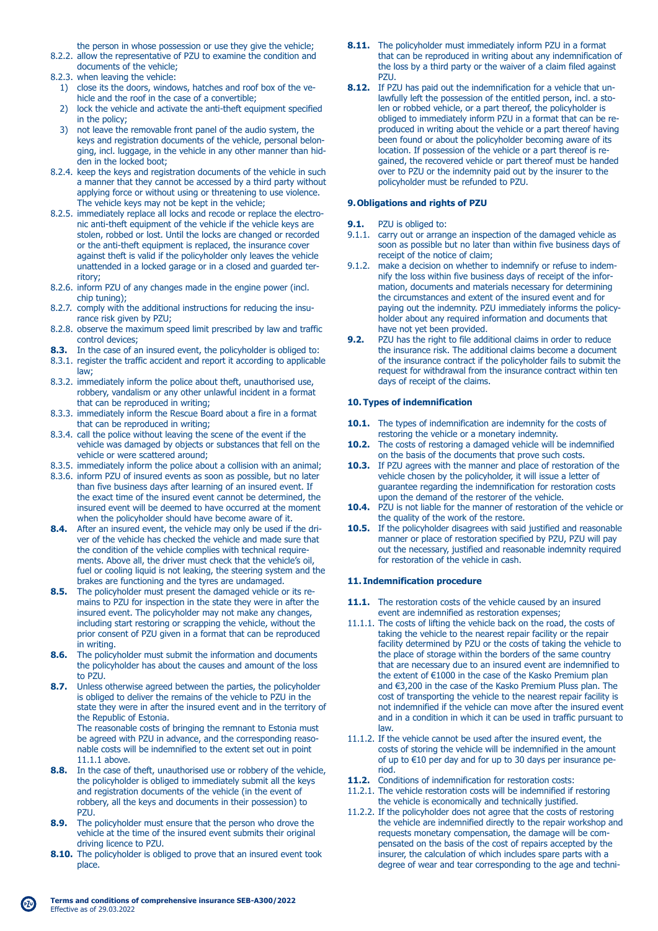the person in whose possession or use they give the vehicle; 8.2.2. allow the representative of PZU to examine the condition and

- documents of the vehicle;
- 8.2.3. when leaving the vehicle:
	- 1) close its the doors, windows, hatches and roof box of the ve hicle and the roof in the case of a convertible;
	- 2) lock the vehicle and activate the anti-theft equipment specified in the policy;
	- 3) not leave the removable front panel of the audio system, the keys and registration documents of the vehicle, personal belon ging, incl. luggage, in the vehicle in any other manner than hid den in the locked boot;
- 8.2.4. keep the keys and registration documents of the vehicle in such a manner that they cannot be accessed by a third party without applying force or without using or threatening to use violence. The vehicle keys may not be kept in the vehicle;
- 8.2.5. immediately replace all locks and recode or replace the electro nic anti-theft equipment of the vehicle if the vehicle keys are stolen, robbed or lost. Until the locks are changed or recorded or the anti-theft equipment is replaced, the insurance cover against theft is valid if the policyholder only leaves the vehicle unattended in a locked garage or in a closed and guarded ter ritory;
- 8.2.6. inform PZU of any changes made in the engine power (incl. chip tuning);
- 8.2.7. comply with the additional instructions for reducing the insu rance risk given by PZU;
- 8.2.8. observe the maximum speed limit prescribed by law and traffic control devices;
- **8.3.** In the case of an insured event, the policyholder is obliged to:
- 8.3.1. register the traffic accident and report it according to applicable law;
- 8.3.2. immediately inform the police about theft, unauthorised use, robbery, vandalism or any other unlawful incident in a format that can be reproduced in writing;
- 8.3.3. immediately inform the Rescue Board about a fire in a format that can be reproduced in writing;
- 8.3.4. call the police without leaving the scene of the event if the vehicle was damaged by objects or substances that fell on the vehicle or were scattered around;
- 8.3.5. immediately inform the police about a collision with an animal;
- 8.3.6. inform PZU of insured events as soon as possible, but no later than five business days after learning of an insured event. If the exact time of the insured event cannot be determined, the insured event will be deemed to have occurred at the moment when the policyholder should have become aware of it.
- **8.4.** After an insured event, the vehicle may only be used if the dri ver of the vehicle has checked the vehicle and made sure that the condition of the vehicle complies with technical require ments. Above all, the driver must check that the vehicle's oil, fuel or cooling liquid is not leaking, the steering system and the brakes are functioning and the tyres are undamaged.
- **8.5.** The policyholder must present the damaged vehicle or its re mains to PZU for inspection in the state they were in after the insured event. The policyholder may not make any changes, including start restoring or scrapping the vehicle, without the prior consent of PZU given in a format that can be reproduced in writing.<br>8.6. The nolicy
- **8.6.** The policyholder must submit the information and documents the policyholder has about the causes and amount of the loss to PZU.
- **8.7.** Unless otherwise agreed between the parties, the policyholder is obliged to deliver the remains of the vehicle to PZU in the state they were in after the insured event and in the territory of the Republic of Estonia. The reasonable costs of bringing the remnant to Estonia must be agreed with PZU in advance, and the corresponding reaso-
- nable costs will be indemnified to the extent set out in point **8.8.** In the case of **8.8.** In the case of theft, unauthorised use or robbery of the vehicle,
- the policyholder is obliged to immediately submit all the keys and registration documents of the vehicle (in the event of robbery, all the keys and documents in their possession) to PZU.
- **8.9.** The policyholder must ensure that the person who drove the vehicle at the time of the insured event submits their original driving licence to PZU.
- **8.10.** The policyholder is obliged to prove that an insured event took place.
- **8.11.** The policyholder must immediately inform PZU in a format that can be reproduced in writing about any indemnification of the loss by a third party or the waiver of a claim filed against PZU.
- **8.12.** If PZU has paid out the indemnification for a vehicle that un lawfully left the possession of the entitled person, incl. a sto len or robbed vehicle, or a part thereof, the policyholder is obliged to immediately inform PZU in a format that can be re produced in writing about the vehicle or a part thereof having been found or about the policyholder becoming aware of its location. If possession of the vehicle or a part thereof is re gained, the recovered vehicle or part thereof must be handed over to PZU or the indemnity paid out by the insurer to the policyholder must be refunded to PZU.

## **9. Obligations and rights of PZU**

- **9.1.** PZU is obliged to:
- 9.1.1. carry out or arrange an inspection of the damaged vehicle as soon as possible but no later than within five business days of receipt of the notice of claim;
- 9.1.2. make a decision on whether to indemnify or refuse to indem nify the loss within five business days of receipt of the infor mation, documents and materials necessary for determining the circumstances and extent of the insured event and for paying out the indemnity. PZU immediately informs the policy holder about any required information and documents that have not yet been provided.<br>P7LL has the right to file add
- **9.2.** PZU has the right to file additional claims in order to reduce the insurance risk. The additional claims become a document of the insurance contract if the policyholder fails to submit the request for withdrawal from the insurance contract within ten days of receipt of the claims.

# **10. Types of indemnification**

- 10.1. The types of indemnification are indemnity for the costs of restoring the vehicle or a monetary indemnity.
- **10.2.** The costs of restoring a damaged vehicle will be indemnified on the basis of the documents that prove such costs.
- **10.3.** If PZU agrees with the manner and place of restoration of the vehicle chosen by the policyholder, it will issue a letter of guarantee regarding the indemnification for restoration costs upon the demand of the restorer of the vehicle.
- **10.4.** PZU is not liable for the manner of restoration of the vehicle or the quality of the work of the restore.
- **10.5.** If the policyholder disagrees with said justified and reasonable manner or place of restoration specified by PZU, PZU will pay out the necessary, justified and reasonable indemnity required for restoration of the vehicle in cash.

#### **11. Indemnification procedure**

- 11.1. The restoration costs of the vehicle caused by an insured event are indemnified as restoration expenses;
- 11.1.1. The costs of lifting the vehicle back on the road, the costs of taking the vehicle to the nearest repair facility or the repair facility determined by PZU or the costs of taking the vehicle to the place of storage within the borders of the same country that are necessary due to an insured event are indemnified to the extent of €1000 in the case of the Kasko Premium plan and €3,200 in the case of the Kasko Premium Pluss plan. The cost of transporting the vehicle to the nearest repair facility is not indemnified if the vehicle can move after the insured event and in a condition in which it can be used in traffic pursuant to law.
- 11.1.2. If the vehicle cannot be used after the insured event, the costs of storing the vehicle will be indemnified in the amount of up to €10 per day and for up to 30 days per insurance pe riod.
- **11.2.** Conditions of indemnification for restoration costs:
- 11.2.1. The vehicle restoration costs will be indemnified if restoring the vehicle is economically and technically justified.
- 11.2.2. If the policyholder does not agree that the costs of restoring the vehicle are indemnified directly to the repair workshop and requests monetary compensation, the damage will be com pensated on the basis of the cost of repairs accepted by the insurer, the calculation of which includes spare parts with a degree of wear and tear corresponding to the age and techni-